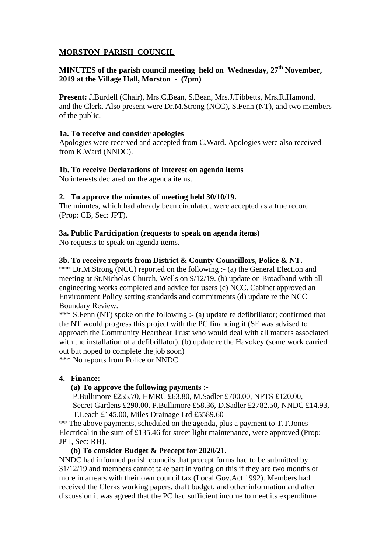# **MORSTON PARISH COUNCIL**

# **MINUTES of the parish council meeting held on Wednesday, 27<sup>th</sup> November, 2019 at the Village Hall, Morston - (7pm)**

**Present:** J.Burdell (Chair), Mrs.C.Bean, S.Bean, Mrs.J.Tibbetts, Mrs.R.Hamond, and the Clerk. Also present were Dr.M.Strong (NCC), S.Fenn (NT), and two members of the public.

## **1a. To receive and consider apologies**

Apologies were received and accepted from C.Ward. Apologies were also received from K.Ward (NNDC).

## **1b. To receive Declarations of Interest on agenda items**

No interests declared on the agenda items.

## **2. To approve the minutes of meeting held 30/10/19.**

The minutes, which had already been circulated, were accepted as a true record. (Prop: CB, Sec: JPT).

## **3a. Public Participation (requests to speak on agenda items)**

No requests to speak on agenda items.

## **3b. To receive reports from District & County Councillors, Police & NT.**

\*\*\* Dr.M.Strong (NCC) reported on the following :- (a) the General Election and meeting at St.Nicholas Church, Wells on 9/12/19. (b) update on Broadband with all engineering works completed and advice for users (c) NCC. Cabinet approved an Environment Policy setting standards and commitments (d) update re the NCC Boundary Review.

\*\*\* S.Fenn (NT) spoke on the following :- (a) update re defibrillator; confirmed that the NT would progress this project with the PC financing it (SF was advised to approach the Community Heartbeat Trust who would deal with all matters associated with the installation of a defibrillator). (b) update re the Havokey (some work carried out but hoped to complete the job soon)

\*\*\* No reports from Police or NNDC.

#### **4. Finance:**

## **(a) To approve the following payments :-**

P.Bullimore £255.70, HMRC £63.80, M.Sadler £700.00, NPTS £120.00, Secret Gardens £290.00, P.Bullimore £58.36, D.Sadler £2782.50, NNDC £14.93, T.Leach £145.00, Miles Drainage Ltd £5589.60

\*\* The above payments, scheduled on the agenda, plus a payment to T.T.Jones Electrical in the sum of £135.46 for street light maintenance, were approved (Prop: JPT, Sec: RH).

## **(b) To consider Budget & Precept for 2020/21.**

NNDC had informed parish councils that precept forms had to be submitted by 31/12/19 and members cannot take part in voting on this if they are two months or more in arrears with their own council tax (Local Gov.Act 1992). Members had received the Clerks working papers, draft budget, and other information and after discussion it was agreed that the PC had sufficient income to meet its expenditure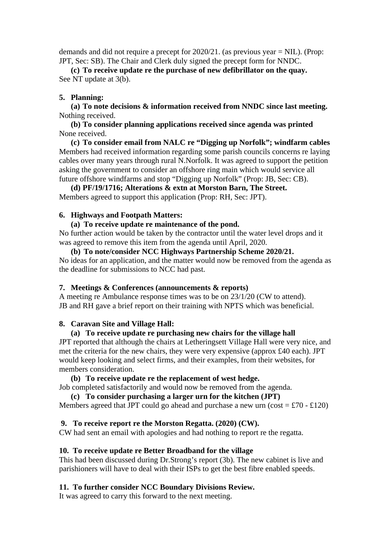demands and did not require a precept for 2020/21. (as previous year = NIL). (Prop: JPT, Sec: SB). The Chair and Clerk duly signed the precept form for NNDC.

**(c) To receive update re the purchase of new defibrillator on the quay.**  See NT update at 3(b).

## **5. Planning:**

**(a) To note decisions & information received from NNDC since last meeting.**  Nothing received.

**(b) To consider planning applications received since agenda was printed**  None received.

**(c) To consider email from NALC re "Digging up Norfolk"; windfarm cables**  Members had received information regarding some parish councils concerns re laying cables over many years through rural N.Norfolk. It was agreed to support the petition asking the government to consider an offshore ring main which would service all future offshore windfarms and stop "Digging up Norfolk" (Prop: JB, Sec: CB).

**(d) PF/19/1716; Alterations & extn at Morston Barn, The Street.**  Members agreed to support this application (Prop: RH, Sec: JPT).

#### **6. Highways and Footpath Matters:**

## **(a) To receive update re maintenance of the pond.**

No further action would be taken by the contractor until the water level drops and it was agreed to remove this item from the agenda until April, 2020.

**(b) To note/consider NCC Highways Partnership Scheme 2020/21.**  No ideas for an application, and the matter would now be removed from the agenda as the deadline for submissions to NCC had past.

#### **7. Meetings & Conferences (announcements & reports)**

A meeting re Ambulance response times was to be on 23/1/20 (CW to attend). JB and RH gave a brief report on their training with NPTS which was beneficial.

#### **8. Caravan Site and Village Hall:**

## **(a) To receive update re purchasing new chairs for the village hall**

JPT reported that although the chairs at Letheringsett Village Hall were very nice, and met the criteria for the new chairs, they were very expensive (approx £40 each). JPT would keep looking and select firms, and their examples, from their websites, for members consideration.

## **(b) To receive update re the replacement of west hedge.**

Job completed satisfactorily and would now be removed from the agenda.

## **(c) To consider purchasing a larger urn for the kitchen (JPT)**

Members agreed that JPT could go ahead and purchase a new urn (cost =  $\text{\textsterling}70 - \text{\textsterling}120$ )

#### **9. To receive report re the Morston Regatta. (2020) (CW).**

CW had sent an email with apologies and had nothing to report re the regatta.

## **10. To receive update re Better Broadband for the village**

This had been discussed during Dr.Strong's report (3b). The new cabinet is live and parishioners will have to deal with their ISPs to get the best fibre enabled speeds.

## **11. To further consider NCC Boundary Divisions Review.**

It was agreed to carry this forward to the next meeting.